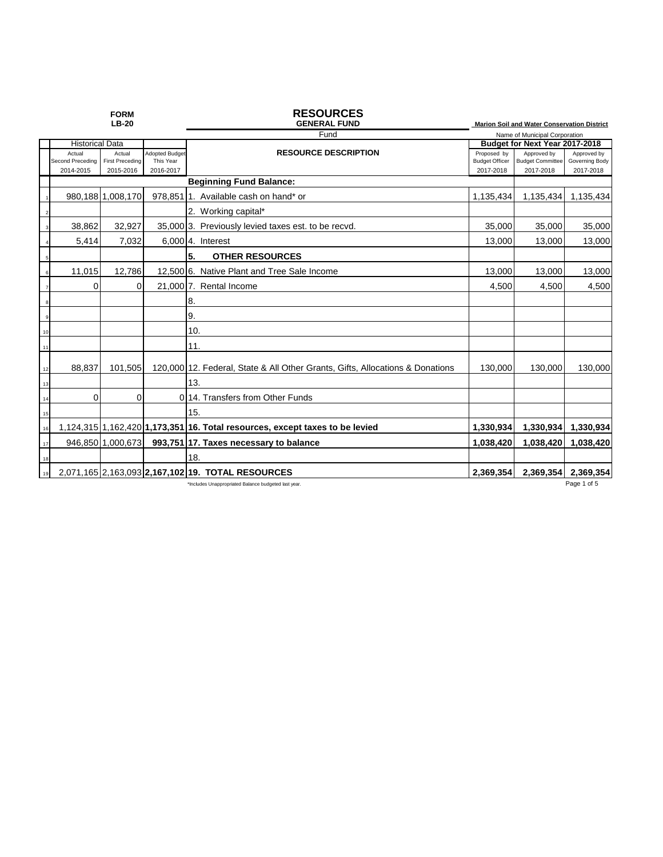| <b>FORM</b><br><b>LB-20</b> |                               |                                     |                        | <b>RESOURCES</b><br><b>GENERAL FUND</b>                                       | Marion Soil and Water Conservation District |                                      |                             |  |
|-----------------------------|-------------------------------|-------------------------------------|------------------------|-------------------------------------------------------------------------------|---------------------------------------------|--------------------------------------|-----------------------------|--|
|                             |                               |                                     |                        | Fund                                                                          | Name of Municipal Corporation               |                                      |                             |  |
|                             | <b>Historical Data</b>        |                                     |                        |                                                                               | Budget for Next Year 2017-2018              |                                      |                             |  |
|                             | Actual                        | Actual                              | Adopted Budge          | <b>RESOURCE DESCRIPTION</b>                                                   | Proposed by                                 | Approved by                          | Approved by                 |  |
|                             | Second Preceding<br>2014-2015 | <b>First Preceding</b><br>2015-2016 | This Year<br>2016-2017 |                                                                               | <b>Budget Officer</b><br>2017-2018          | <b>Budget Committee</b><br>2017-2018 | Governing Body<br>2017-2018 |  |
|                             |                               |                                     |                        | <b>Beginning Fund Balance:</b>                                                |                                             |                                      |                             |  |
|                             |                               | 980,188 1,008,170                   |                        | 978.85111. Available cash on hand* or                                         | 1,135,434                                   | 1,135,434                            | 1,135,434                   |  |
| $\overline{2}$              |                               |                                     |                        | 2. Working capital*                                                           |                                             |                                      |                             |  |
|                             | 38,862                        | 32,927                              |                        | 35,000 3. Previously levied taxes est. to be recvd.                           | 35,000                                      | 35,000                               | 35,000                      |  |
|                             | 5,414                         | 7.032                               |                        | $6,000$ 4. Interest                                                           | 13,000                                      | 13,000                               | 13,000                      |  |
| 5                           |                               |                                     |                        | 5.<br><b>OTHER RESOURCES</b>                                                  |                                             |                                      |                             |  |
| 6                           | 11,015                        | 12.786                              |                        | 12,500 6. Native Plant and Tree Sale Income                                   | 13,000                                      | 13.000                               | 13,000                      |  |
|                             | 0                             | 0                                   |                        | 21,000 7. Rental Income                                                       | 4,500                                       | 4,500                                | 4,500                       |  |
| -8                          |                               |                                     |                        | 8.                                                                            |                                             |                                      |                             |  |
| $\mathbf{q}$                |                               |                                     |                        | 9.                                                                            |                                             |                                      |                             |  |
| 10                          |                               |                                     |                        | 10.                                                                           |                                             |                                      |                             |  |
| 11                          |                               |                                     |                        | 11.                                                                           |                                             |                                      |                             |  |
| 12                          | 88,837                        | 101,505                             |                        | 120,000 12. Federal, State & All Other Grants, Gifts, Allocations & Donations | 130,000                                     | 130.000                              | 130,000                     |  |
| 13                          |                               |                                     |                        | 13.                                                                           |                                             |                                      |                             |  |
| 14                          | 0                             | 0                                   |                        | 0.14. Transfers from Other Funds                                              |                                             |                                      |                             |  |
| 15                          |                               |                                     |                        | 15.                                                                           |                                             |                                      |                             |  |
| 16                          |                               |                                     |                        | 1,124,315 1,162,420 1,173,351 16. Total resources, except taxes to be levied  | 1,330,934                                   | 1,330,934                            | 1,330,934                   |  |
| 17                          |                               | 946,850 1,000,673                   |                        | 993,751 17. Taxes necessary to balance                                        | 1,038,420                                   | 1,038,420                            | 1,038,420                   |  |
| 18                          |                               |                                     |                        | 18.                                                                           |                                             |                                      |                             |  |
| 19                          |                               |                                     |                        | 2,071,165 2,163,093 2,167,102 19. TOTAL RESOURCES                             | 2,369,354                                   | 2,369,354                            | 2,369,354                   |  |
|                             |                               |                                     |                        | *Includes Unappropriated Balance budgeted last year.                          |                                             |                                      | Page 1 of 5                 |  |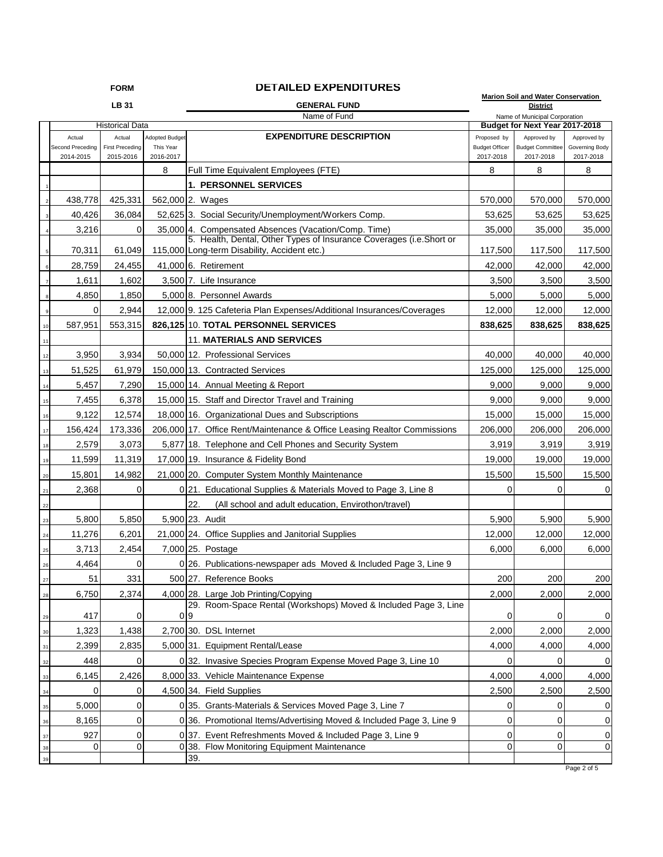## **FORM DETAILED EXPENDITURES**

| FORM<br>DE I AILED EAFENDITURES |                                         |                                               |                                                 |                |                                                                                                                              | <b>Marion Soil and Water Conservation</b>                       |                                                     |                                            |
|---------------------------------|-----------------------------------------|-----------------------------------------------|-------------------------------------------------|----------------|------------------------------------------------------------------------------------------------------------------------------|-----------------------------------------------------------------|-----------------------------------------------------|--------------------------------------------|
| LB 31                           |                                         |                                               |                                                 |                | <b>GENERAL FUND</b>                                                                                                          | <b>District</b>                                                 |                                                     |                                            |
| <b>Historical Data</b>          |                                         |                                               |                                                 |                | Name of Fund                                                                                                                 | Name of Municipal Corporation<br>Budget for Next Year 2017-2018 |                                                     |                                            |
|                                 | Actual<br>Second Preceding<br>2014-2015 | Actual<br><b>First Preceding</b><br>2015-2016 | <b>Adopted Budget</b><br>This Year<br>2016-2017 |                | <b>EXPENDITURE DESCRIPTION</b>                                                                                               | Proposed by<br><b>Budget Officer</b><br>2017-2018               | Approved by<br><b>Budget Committee</b><br>2017-2018 | Approved by<br>Governing Body<br>2017-2018 |
|                                 |                                         |                                               | 8                                               |                | Full Time Equivalent Employees (FTE)                                                                                         | 8                                                               | 8                                                   | 8                                          |
|                                 |                                         |                                               |                                                 |                | <b>1. PERSONNEL SERVICES</b>                                                                                                 |                                                                 |                                                     |                                            |
|                                 | 438,778                                 | 425,331                                       | 562,000 2. Wages                                |                |                                                                                                                              | 570,000                                                         | 570,000                                             | 570,000                                    |
|                                 | 40,426                                  | 36,084                                        |                                                 |                | 52,625 3. Social Security/Unemployment/Workers Comp.                                                                         | 53,625                                                          | 53,625                                              | 53,625                                     |
|                                 | 3,216                                   | 0                                             |                                                 |                | 35,000 4. Compensated Absences (Vacation/Comp. Time)<br>5. Health, Dental, Other Types of Insurance Coverages (i.e. Short or | 35,000                                                          | 35,000                                              | 35,000                                     |
|                                 | 70,311                                  | 61,049                                        |                                                 |                | 115,000 Long-term Disability, Accident etc.)                                                                                 | 117,500                                                         | 117,500                                             | 117,500                                    |
|                                 | 28,759                                  | 24,455                                        |                                                 |                | 41,000 6. Retirement                                                                                                         | 42,000                                                          | 42,000                                              | 42,000                                     |
|                                 | 1,611                                   | 1,602                                         |                                                 |                | 3,500 7. Life Insurance                                                                                                      | 3,500                                                           | 3,500                                               | 3,500                                      |
|                                 | 4,850                                   | 1,850                                         |                                                 |                | 5,000 8. Personnel Awards                                                                                                    | 5,000                                                           | 5,000                                               | 5,000                                      |
| 9                               | 0                                       | 2,944                                         |                                                 |                | 12,000 9. 125 Cafeteria Plan Expenses/Additional Insurances/Coverages                                                        | 12,000                                                          | 12,000                                              | 12,000                                     |
| 10                              | 587,951                                 | 553,315                                       |                                                 |                | 826,125 10. TOTAL PERSONNEL SERVICES                                                                                         | 838,625                                                         | 838,625                                             | 838,625                                    |
| 11                              |                                         |                                               |                                                 |                | <b>11. MATERIALS AND SERVICES</b>                                                                                            |                                                                 |                                                     |                                            |
| 12                              | 3,950                                   | 3,934                                         |                                                 |                | 50,000 12. Professional Services                                                                                             | 40,000                                                          | 40,000                                              | 40,000                                     |
| 13                              | 51,525                                  | 61,979                                        |                                                 |                | 150,000 13. Contracted Services                                                                                              | 125,000                                                         | 125,000                                             | 125,000                                    |
| 14                              | 5,457                                   | 7,290                                         |                                                 |                | 15,000 14. Annual Meeting & Report                                                                                           | 9,000                                                           | 9,000                                               | 9,000                                      |
| 15                              | 7,455                                   | 6,378                                         |                                                 |                | 15,000 15. Staff and Director Travel and Training                                                                            | 9,000                                                           | 9,000                                               | 9,000                                      |
| 16                              | 9,122                                   | 12,574                                        |                                                 |                | 18,000 16. Organizational Dues and Subscriptions                                                                             | 15,000                                                          | 15,000                                              | 15,000                                     |
| 17                              | 156,424                                 | 173,336                                       |                                                 |                | 206,000 17. Office Rent/Maintenance & Office Leasing Realtor Commissions                                                     | 206,000                                                         | 206,000                                             | 206,000                                    |
| 18                              | 2,579                                   | 3,073                                         |                                                 |                | 5,877 18. Telephone and Cell Phones and Security System                                                                      | 3,919                                                           | 3,919                                               | 3,919                                      |
| 19                              | 11,599                                  | 11,319                                        |                                                 |                | 17,000 19. Insurance & Fidelity Bond                                                                                         | 19,000                                                          | 19,000                                              | 19,000                                     |
| 20                              | 15,801                                  | 14,982                                        |                                                 |                | 21,000 20. Computer System Monthly Maintenance                                                                               | 15,500                                                          | 15,500                                              | 15,500                                     |
| 21                              | 2,368                                   | 0                                             |                                                 |                | 0 21. Educational Supplies & Materials Moved to Page 3, Line 8                                                               | 0                                                               | 0                                                   | 0                                          |
| 22                              |                                         |                                               |                                                 | 22.            | (All school and adult education, Envirothon/travel)                                                                          |                                                                 |                                                     |                                            |
| 23                              | 5,800                                   | 5,850                                         |                                                 |                | 5,900 23. Audit                                                                                                              | 5,900                                                           | 5,900                                               | 5,900                                      |
| 24                              | 11,276                                  | 6,201                                         |                                                 |                | 21,000 24. Office Supplies and Janitorial Supplies                                                                           | 12,000                                                          | 12,000                                              | 12,000                                     |
| 25                              | 3,713                                   | 2,454                                         |                                                 |                | 7,000 25. Postage                                                                                                            | 6,000                                                           | 6,000                                               | 6,000                                      |
| 26                              | 4,464                                   | 0                                             |                                                 |                | 0 26. Publications-newspaper ads Moved & Included Page 3, Line 9                                                             |                                                                 |                                                     |                                            |
| 27                              | 51                                      | 331                                           |                                                 |                | 500 27. Reference Books                                                                                                      | 200                                                             | 200                                                 | 200                                        |
| 28                              | 6,750                                   | 2,374                                         |                                                 |                | 4,000 28. Large Job Printing/Copying                                                                                         | 2,000                                                           | 2,000                                               | 2,000                                      |
| 29                              | 417                                     | 0                                             |                                                 | 0 <sub>9</sub> | 29. Room-Space Rental (Workshops) Moved & Included Page 3, Line                                                              | 0                                                               | 0                                                   | 0                                          |
| 30                              | 1,323                                   | 1,438                                         |                                                 |                | 2,700 30. DSL Internet                                                                                                       | 2,000                                                           | 2,000                                               | 2,000                                      |
| 31                              | 2,399                                   | 2,835                                         |                                                 |                | 5,000 31. Equipment Rental/Lease                                                                                             | 4,000                                                           | 4,000                                               | 4,000                                      |
| 32                              | 448                                     | 0                                             |                                                 |                | 0 32. Invasive Species Program Expense Moved Page 3, Line 10                                                                 | 0                                                               |                                                     | 0                                          |
| 33                              | 6,145                                   | 2,426                                         |                                                 |                | 8,000 33. Vehicle Maintenance Expense                                                                                        | 4,000                                                           | 4,000                                               | 4,000                                      |
| 34                              | 0                                       | 0                                             |                                                 |                | 4,500 34. Field Supplies                                                                                                     | 2,500                                                           | 2,500                                               | 2,500                                      |
| 35                              | 5,000                                   | 0                                             |                                                 |                | 0 35. Grants-Materials & Services Moved Page 3, Line 7                                                                       | 0                                                               | 0                                                   | 0                                          |
| 36                              | 8,165                                   | 0                                             |                                                 |                | 0 36. Promotional Items/Advertising Moved & Included Page 3, Line 9                                                          | 0                                                               | 0                                                   | 0                                          |
| 37                              | 927                                     | 0                                             |                                                 |                | 0 37. Event Refreshments Moved & Included Page 3, Line 9                                                                     | 0                                                               | 0                                                   | 0                                          |
| 38                              | 0                                       | 0                                             |                                                 | $0\,38.$       | Flow Monitoring Equipment Maintenance                                                                                        | 0                                                               | $\overline{0}$                                      | 0                                          |
| 39                              |                                         |                                               |                                                 | 39.            |                                                                                                                              |                                                                 |                                                     |                                            |

Page 2 of 5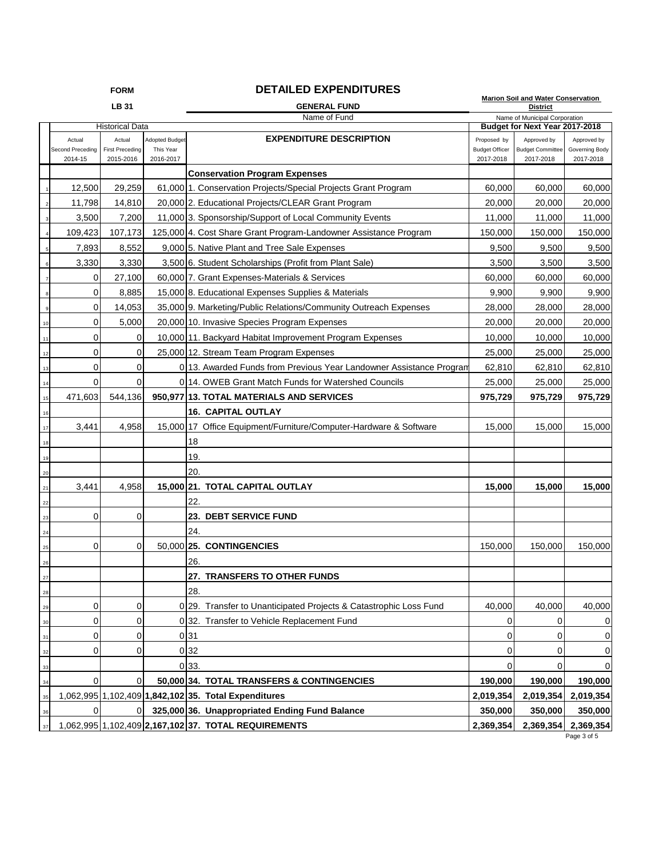## **FORM DETAILED EXPENDITURES**

**Marion Soil and Water Conservation** 

|                |                        | LB 31                  |                       | <b>GENERAL FUND</b>                                                 | <b>District</b>                                                 |                         |                |
|----------------|------------------------|------------------------|-----------------------|---------------------------------------------------------------------|-----------------------------------------------------------------|-------------------------|----------------|
|                | <b>Historical Data</b> |                        |                       | Name of Fund                                                        | Name of Municipal Corporation<br>Budget for Next Year 2017-2018 |                         |                |
|                | Actual                 | Actual                 | <b>Adopted Budget</b> | <b>EXPENDITURE DESCRIPTION</b>                                      | Proposed by                                                     | Approved by             | Approved by    |
|                | Second Preceding       | <b>First Preceding</b> | This Year             |                                                                     | <b>Budget Officer</b>                                           | <b>Budget Committee</b> | Governing Body |
|                | 2014-15                | 2015-2016              | 2016-2017             |                                                                     | 2017-2018                                                       | 2017-2018               | 2017-2018      |
|                |                        |                        |                       | <b>Conservation Program Expenses</b>                                |                                                                 |                         |                |
|                | 12,500                 | 29,259                 |                       | 61,000 1. Conservation Projects/Special Projects Grant Program      | 60,000                                                          | 60,000                  | 60,000         |
|                | 11,798                 | 14,810                 |                       | 20,000 2. Educational Projects/CLEAR Grant Program                  | 20,000                                                          | 20,000                  | 20,000         |
|                | 3,500                  | 7,200                  |                       | 11,000 3. Sponsorship/Support of Local Community Events             | 11,000                                                          | 11,000                  | 11,000         |
|                | 109,423                | 107,173                |                       | 125,000 4. Cost Share Grant Program-Landowner Assistance Program    | 150,000                                                         | 150,000                 | 150,000        |
|                | 7,893                  | 8,552                  |                       | 9,000 5. Native Plant and Tree Sale Expenses                        | 9,500                                                           | 9,500                   | 9,500          |
| 6              | 3,330                  | 3,330                  |                       | 3,500 6. Student Scholarships (Profit from Plant Sale)              | 3,500                                                           | 3,500                   | 3,500          |
| $\overline{7}$ | 0                      | 27,100                 |                       | 60,000 7. Grant Expenses-Materials & Services                       | 60,000                                                          | 60,000                  | 60,000         |
|                | $\mathbf 0$            | 8,885                  |                       | 15,000 8. Educational Expenses Supplies & Materials                 | 9,900                                                           | 9,900                   | 9,900          |
| 9              | $\mathbf 0$            | 14,053                 |                       | 35,000 9. Marketing/Public Relations/Community Outreach Expenses    | 28,000                                                          | 28,000                  | 28,000         |
| 10             | 0                      | 5,000                  |                       | 20,000 10. Invasive Species Program Expenses                        | 20,000                                                          | 20,000                  | 20,000         |
| 11             | $\mathbf 0$            | 0                      |                       | 10,000 11. Backyard Habitat Improvement Program Expenses            | 10,000                                                          | 10,000                  | 10,000         |
| 12             | $\overline{0}$         | 0                      |                       | 25,000 12. Stream Team Program Expenses                             | 25,000                                                          | 25,000                  | 25,000         |
| 13             | $\mathbf 0$            | 0                      |                       | 0 13. Awarded Funds from Previous Year Landowner Assistance Program | 62,810                                                          | 62,810                  | 62,810         |
| 14             | 0                      | 0                      |                       | 0.14. OWEB Grant Match Funds for Watershed Councils                 | 25,000                                                          | 25,000                  | 25,000         |
| 15             | 471,603                | 544.136                |                       | 950,977 13. TOTAL MATERIALS AND SERVICES                            | 975,729                                                         | 975,729                 | 975,729        |
| 16             |                        |                        |                       | <b>16. CAPITAL OUTLAY</b>                                           |                                                                 |                         |                |
| 17             | 3,441                  | 4,958                  |                       | 15,000 17 Office Equipment/Furniture/Computer-Hardware & Software   | 15,000                                                          | 15,000                  | 15,000         |
| 18             |                        |                        |                       | 18                                                                  |                                                                 |                         |                |
| 19             |                        |                        |                       | 19.                                                                 |                                                                 |                         |                |
| 20             |                        |                        |                       | 20.                                                                 |                                                                 |                         |                |
| 21             | 3,441                  | 4,958                  |                       | 15,000 21. TOTAL CAPITAL OUTLAY                                     | 15,000                                                          | 15,000                  | 15,000         |
| 22             |                        |                        |                       | 22.                                                                 |                                                                 |                         |                |
| 23             | $\mathbf 0$            | 0                      |                       | 23. DEBT SERVICE FUND                                               |                                                                 |                         |                |
| 24             |                        |                        |                       | 24.                                                                 |                                                                 |                         |                |
| 25             | $\mathbf 0$            | 0                      |                       | 50,000 25. CONTINGENCIES                                            | 150,000                                                         | 150,000                 | 150,000        |
| 26             |                        |                        |                       | 26.                                                                 |                                                                 |                         |                |
| 27             |                        |                        |                       | 27. TRANSFERS TO OTHER FUNDS                                        |                                                                 |                         |                |
| 28             |                        |                        |                       | 28.                                                                 |                                                                 |                         |                |
| 29             | 0                      | 0                      |                       | 0 29. Transfer to Unanticipated Projects & Catastrophic Loss Fund   | 40,000                                                          | 40,000                  | 40,000         |
| 30             | 0                      | 0                      |                       | 0 32. Transfer to Vehicle Replacement Fund                          | 0                                                               | 0                       | 0              |
| 31             | $\mathbf 0$            | 0                      |                       | 0 <sub>31</sub>                                                     | 0                                                               | $\mathbf 0$             | 0              |
| 32             | 0                      | 0                      |                       | 0 32                                                                | 0                                                               | 0                       | 0              |
| 33             |                        |                        |                       | 0 33.                                                               | 0                                                               | 0                       | 0              |
| 34             | $\mathbf 0$            | $\overline{0}$         |                       | 50,000 34. TOTAL TRANSFERS & CONTINGENCIES                          | 190,000                                                         | 190,000                 | 190,000        |
| 35             |                        |                        |                       | 1,062,995 1,102,409 1,842,102 35. Total Expenditures                | 2,019,354                                                       | 2,019,354               | 2,019,354      |
| 36             | 0                      | 01                     |                       | 325,000 36. Unappropriated Ending Fund Balance                      | 350,000                                                         | 350,000                 | 350,000        |
| 37             |                        |                        |                       | 1,062,995 1,102,409 2,167,102 37. TOTAL REQUIREMENTS                | 2,369,354                                                       | 2,369,354               | 2,369,354      |
|                |                        |                        |                       |                                                                     |                                                                 |                         |                |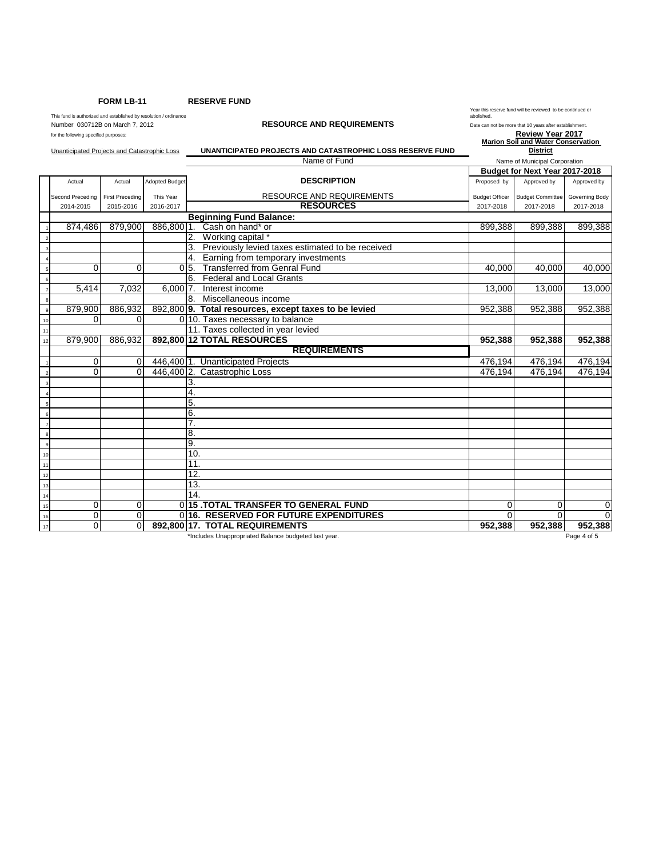**FORM LB-11 RESERVE FUND**

This fund is authorized and established by resolution / ordinance **and it concerns a concerns a concerns a**nd the<br>Number 030712B on March 7, 2012 **Date can not be more that 10 years after establishment.** 

Year this reserve fund will be reviewed to be continued or abolished.

|                         | for the following specified purposes:<br>Unanticipated Projects and Catastrophic Loss |                        |                       | UNANTICIPATED PROJECTS AND CATASTROPHIC LOSS RESERVE FUND | Review Year 2017<br><b>Marion Soil and Water Conservation</b><br><b>District</b><br>Name of Municipal Corporation |                         |                |  |
|-------------------------|---------------------------------------------------------------------------------------|------------------------|-----------------------|-----------------------------------------------------------|-------------------------------------------------------------------------------------------------------------------|-------------------------|----------------|--|
|                         |                                                                                       |                        |                       | Name of Fund                                              |                                                                                                                   |                         |                |  |
|                         |                                                                                       |                        |                       |                                                           | Budget for Next Year 2017-2018                                                                                    |                         |                |  |
|                         | Actual                                                                                | Actual                 | <b>Adopted Budget</b> | <b>DESCRIPTION</b>                                        | Proposed by                                                                                                       | Approved by             | Approved by    |  |
|                         | Second Preceding                                                                      | <b>First Preceding</b> | This Year             | <b>RESOURCE AND REQUIREMENTS</b>                          | <b>Budget Officer</b>                                                                                             | <b>Budget Committee</b> | Governing Body |  |
|                         | 2014-2015                                                                             | 2015-2016              | 2016-2017             | <b>RESOURCES</b>                                          | 2017-2018                                                                                                         | 2017-2018               | 2017-2018      |  |
|                         |                                                                                       |                        |                       | <b>Beginning Fund Balance:</b>                            |                                                                                                                   |                         |                |  |
|                         | 874,486                                                                               | 879,900                |                       | 886,800 1. Cash on hand* or                               | 899,388                                                                                                           | 899,388                 | 899,388        |  |
|                         |                                                                                       |                        |                       | Working capital *                                         |                                                                                                                   |                         |                |  |
|                         |                                                                                       |                        |                       | Previously levied taxes estimated to be received<br>3.    |                                                                                                                   |                         |                |  |
|                         |                                                                                       |                        |                       | 4. Earning from temporary investments                     |                                                                                                                   |                         |                |  |
|                         | 0                                                                                     | 0                      |                       | <b>Transferred from Genral Fund</b><br>$0\,5.$            | 40,000                                                                                                            | 40,000                  | 40,000         |  |
| 6                       |                                                                                       |                        |                       | 6.<br><b>Federal and Local Grants</b>                     |                                                                                                                   |                         |                |  |
|                         | 5,414                                                                                 | 7,032                  | 6.00017.              | Interest income                                           | 13,000                                                                                                            | 13,000                  | 13,000         |  |
| 8                       |                                                                                       |                        |                       | Miscellaneous income<br>8.                                |                                                                                                                   |                         |                |  |
| $\overline{9}$          | 879,900                                                                               | 886,932                |                       | 892,800 9. Total resources, except taxes to be levied     | 952,388                                                                                                           | 952,388                 | 952,388        |  |
| 10                      | 0                                                                                     | $\Omega$               |                       | 0 10. Taxes necessary to balance                          |                                                                                                                   |                         |                |  |
| 11                      |                                                                                       |                        |                       | 11. Taxes collected in year levied                        |                                                                                                                   |                         |                |  |
| 12                      | 879.900                                                                               | 886.932                |                       | 892,800 12 TOTAL RESOURCES                                | 952,388                                                                                                           | 952,388                 | 952,388        |  |
|                         |                                                                                       |                        |                       | <b>REQUIREMENTS</b>                                       |                                                                                                                   |                         |                |  |
|                         | 0                                                                                     | $\Omega$               |                       | 446,400 1. Unanticipated Projects                         | 476,194                                                                                                           | 476,194                 | 476,194        |  |
| $\overline{2}$          | 0                                                                                     | $\Omega$               |                       | 446,400 2. Catastrophic Loss                              | 476,194                                                                                                           | 476,194                 | 476,194        |  |
| $\overline{\mathbf{3}}$ |                                                                                       |                        |                       | 3.                                                        |                                                                                                                   |                         |                |  |
|                         |                                                                                       |                        |                       | 4.                                                        |                                                                                                                   |                         |                |  |
|                         |                                                                                       |                        |                       | 5.                                                        |                                                                                                                   |                         |                |  |
| 6                       |                                                                                       |                        |                       | 6.                                                        |                                                                                                                   |                         |                |  |
|                         |                                                                                       |                        |                       | 7.                                                        |                                                                                                                   |                         |                |  |
| 8                       |                                                                                       |                        |                       | 8.                                                        |                                                                                                                   |                         |                |  |
| $\overline{9}$          |                                                                                       |                        |                       | 9.                                                        |                                                                                                                   |                         |                |  |
| $10$                    |                                                                                       |                        |                       | 10.                                                       |                                                                                                                   |                         |                |  |
| $\frac{11}{1}$          |                                                                                       |                        |                       | 11.                                                       |                                                                                                                   |                         |                |  |
| 12                      |                                                                                       |                        |                       | 12.                                                       |                                                                                                                   |                         |                |  |
| 13                      |                                                                                       |                        |                       | 13.                                                       |                                                                                                                   |                         |                |  |
| $\frac{14}{1}$          |                                                                                       |                        |                       | 14.                                                       |                                                                                                                   |                         |                |  |
| $15$                    | 0                                                                                     | 0                      |                       | 015 TOTAL TRANSFER TO GENERAL FUND                        | 0                                                                                                                 | 0                       | 0              |  |
| 16                      | 0                                                                                     | $\mathbf 0$            |                       | 0116. RESERVED FOR FUTURE EXPENDITURES                    | $\Omega$                                                                                                          | $\Omega$                | $\Omega$       |  |
| $17$                    | 0                                                                                     | $\Omega$               |                       | 892,800 17. TOTAL REQUIREMENTS                            | 952,388                                                                                                           | 952,388                 | 952,388        |  |

\*Includes Unappropriated Balance budgeted last year. Page 4 of 5